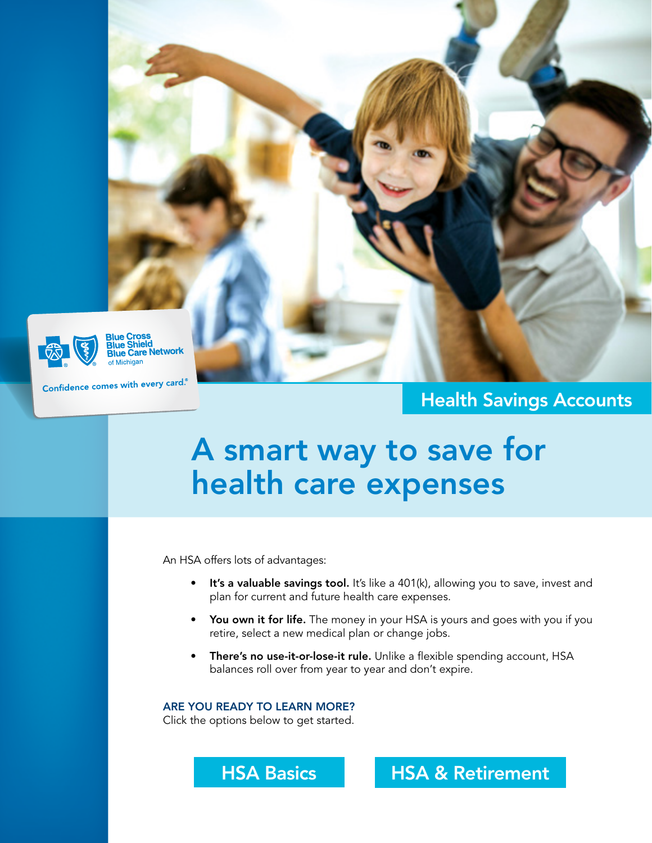

Blue Cross<br>Blue Shield<br>Blue Care Network

Confidence comes with every card.

### Health Savings Accounts

# A smart way to save for health care expenses

An HSA offers lots of advantages:

- **It's a valuable savings tool.** It's like a  $401(k)$ , allowing you to save, invest and plan for current and future health care expenses.
- You own it for life. The money in your HSA is yours and goes with you if you retire, select a new medical plan or change jobs.
- There's no use-it-or-lose-it rule. Unlike a flexible spending account, HSA balances roll over from year to year and don't expire.

ARE YOU READY TO LEARN MORE?

Click the options below to get started.



[HSA Basics](#page-1-0) | [HSA & Retirement](#page-2-0)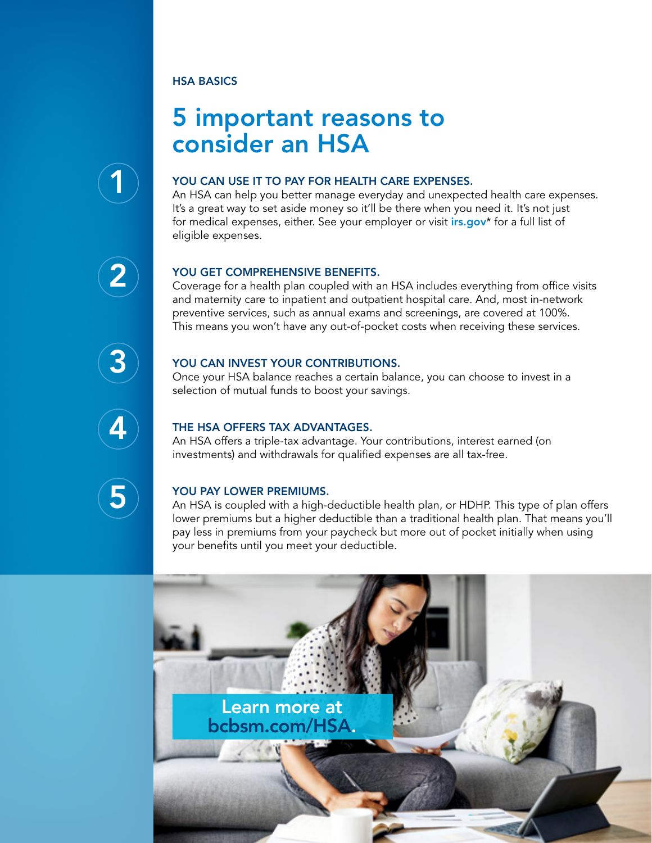#### <span id="page-1-0"></span>HSA BASICS

### 5 important reasons to consider an HSA

## 1

#### YOU CAN USE IT TO PAY FOR HEALTH CARE EXPENSES.

An HSA can help you better manage everyday and unexpected health care expenses. It's a great way to set aside money so it'll be there when you need it. It's not just for medical expenses, either. See your employer or visit *[irs.gov](https://www.irs.gov/publications/p502)*\* for a full list of eligible expenses.

# 2

3

4

5

#### YOU GET COMPREHENSIVE BENEFITS.

Coverage for a health plan coupled with an HSA includes everything from office visits and maternity care to inpatient and outpatient hospital care. And, most in-network preventive services, such as annual exams and screenings, are covered at 100%. This means you won't have any out-of-pocket costs when receiving these services.

#### YOU CAN INVEST YOUR CONTRIBUTIONS.

Once your HSA balance reaches a certain balance, you can choose to invest in a selection of mutual funds to boost your savings.

#### THE HSA OFFERS TAX ADVANTAGES.

An HSA offers a triple-tax advantage. Your contributions, interest earned (on investments) and withdrawals for qualified expenses are all tax-free.

#### YOU PAY LOWER PREMIUMS.

An HSA is coupled with a high-deductible health plan, or HDHP. This type of plan offers lower premiums but a higher deductible than a traditional health plan. That means you'll pay less in premiums from your paycheck but more out of pocket initially when using your benefits until you meet your deductible.

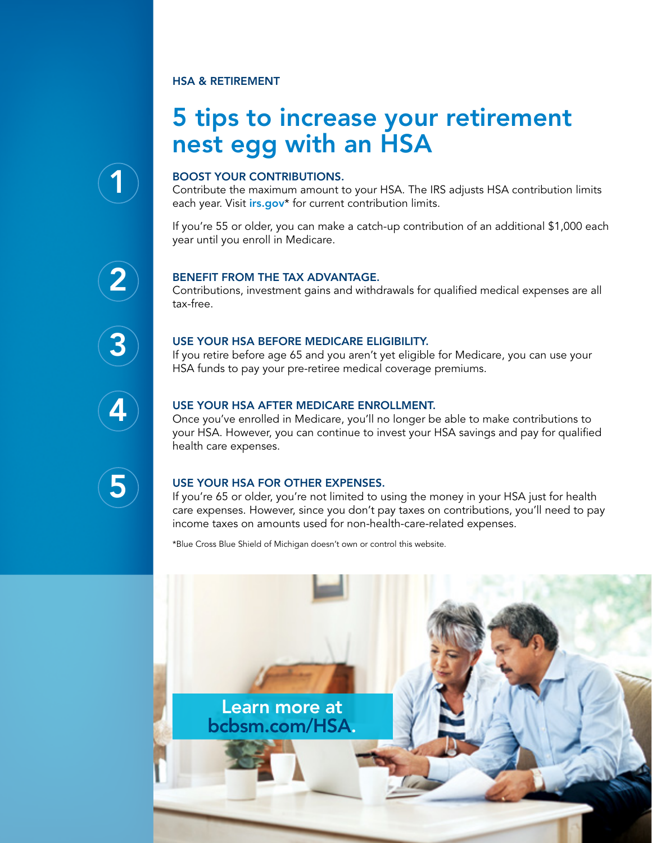#### <span id="page-2-0"></span>HSA & RETIREMENT

### 5 tips to increase your retirement nest egg with an HSA



#### BOOST YOUR CONTRIBUTIONS.

Contribute the maximum amount to your HSA. The IRS adjusts HSA contribution limits each year. Visit *[irs.gov](https://www.irs.gov/publications/p969#en_US_2020_publink1000204046)*<sup>\*</sup> for current contribution limits.

If you're 55 or older, you can make a catch-up contribution of an additional \$1,000 each year until you enroll in Medicare.

# 2

#### BENEFIT FROM THE TAX ADVANTAGE.

Contributions, investment gains and withdrawals for qualified medical expenses are all tax-free.

# 3

#### USE YOUR HSA BEFORE MEDICARE ELIGIBILITY.

If you retire before age 65 and you aren't yet eligible for Medicare, you can use your HSA funds to pay your pre-retiree medical coverage premiums.



#### USE YOUR HSA AFTER MEDICARE ENROLLMENT.

Once you've enrolled in Medicare, you'll no longer be able to make contributions to your HSA. However, you can continue to invest your HSA savings and pay for qualified health care expenses.



#### USE YOUR HSA FOR OTHER EXPENSES.

If you're 65 or older, you're not limited to using the money in your HSA just for health care expenses. However, since you don't pay taxes on contributions, you'll need to pay income taxes on amounts used for non-health-care-related expenses.

\*Blue Cross Blue Shield of Michigan doesn't own or control this website.